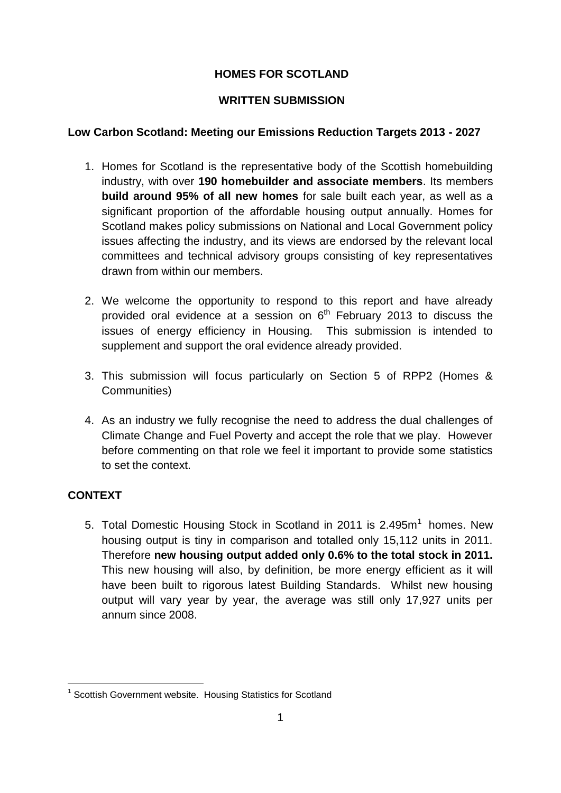# **HOMES FOR SCOTLAND**

## **WRITTEN SUBMISSION**

## **Low Carbon Scotland: Meeting our Emissions Reduction Targets 2013 - 2027**

- 1. Homes for Scotland is the representative body of the Scottish homebuilding industry, with over **190 homebuilder and associate members**. Its members **build around 95% of all new homes** for sale built each year, as well as a significant proportion of the affordable housing output annually. Homes for Scotland makes policy submissions on National and Local Government policy issues affecting the industry, and its views are endorsed by the relevant local committees and technical advisory groups consisting of key representatives drawn from within our members.
- 2. We welcome the opportunity to respond to this report and have already provided oral evidence at a session on  $6<sup>th</sup>$  February 2013 to discuss the issues of energy efficiency in Housing. This submission is intended to supplement and support the oral evidence already provided.
- 3. This submission will focus particularly on Section 5 of RPP2 (Homes & Communities)
- 4. As an industry we fully recognise the need to address the dual challenges of Climate Change and Fuel Poverty and accept the role that we play. However before commenting on that role we feel it important to provide some statistics to set the context.

# **CONTEXT**

1

5. Total Domestic Housing Stock in Scotland in 2011 is  $2.495m<sup>1</sup>$  homes. New housing output is tiny in comparison and totalled only 15,112 units in 2011. Therefore **new housing output added only 0.6% to the total stock in 2011.**  This new housing will also, by definition, be more energy efficient as it will have been built to rigorous latest Building Standards. Whilst new housing output will vary year by year, the average was still only 17,927 units per annum since 2008.

<sup>&</sup>lt;sup>1</sup> Scottish Government website. Housing Statistics for Scotland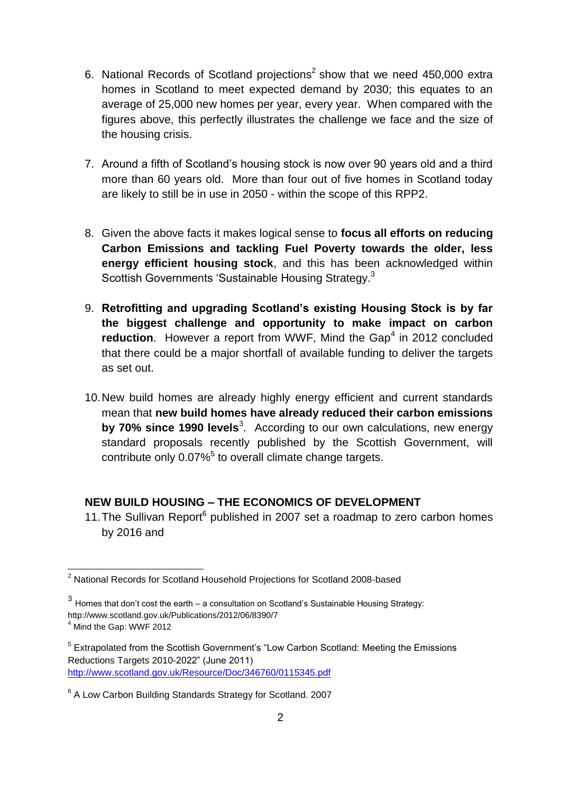- 6. National Records of Scotland projections<sup>2</sup> show that we need 450,000 extra homes in Scotland to meet expected demand by 2030; this equates to an average of 25,000 new homes per year, every year. When compared with the figures above, this perfectly illustrates the challenge we face and the size of the housing crisis.
- 7. Around a fifth of Scotland's housing stock is now over 90 years old and a third more than 60 years old. More than four out of five homes in Scotland today are likely to still be in use in 2050 - within the scope of this RPP2.
- 8. Given the above facts it makes logical sense to **focus all efforts on reducing Carbon Emissions and tackling Fuel Poverty towards the older, less energy efficient housing stock**, and this has been acknowledged within Scottish Governments 'Sustainable Housing Strategy.<sup>3</sup>
- 9. **Retrofitting and upgrading Scotland's existing Housing Stock is by far the biggest challenge and opportunity to make impact on carbon**  reduction. However a report from WWF, Mind the Gap<sup>4</sup> in 2012 concluded that there could be a major shortfall of available funding to deliver the targets as set out.
- 10.New build homes are already highly energy efficient and current standards mean that **new build homes have already reduced their carbon emissions**  by 70% since 1990 levels<sup>3</sup>. According to our own calculations, new energy standard proposals recently published by the Scottish Government, will contribute only  $0.07\%$ <sup>5</sup> to overall climate change targets.

# **NEW BUILD HOUSING – THE ECONOMICS OF DEVELOPMENT**

11. The Sullivan Report<sup>6</sup> published in 2007 set a roadmap to zero carbon homes by 2016 and

1

<sup>&</sup>lt;sup>2</sup> National Records for Scotland Household Projections for Scotland 2008-based

<sup>3</sup> Homes that don't cost the earth – a consultation on Scotland's Sustainable Housing Strategy: http://www.scotland.gov.uk/Publications/2012/06/8390/7

<sup>4</sup> Mind the Gap: WWF 2012

<sup>&</sup>lt;sup>5</sup> Extrapolated from the Scottish Government's "Low Carbon Scotland: Meeting the Emissions Reductions Targets 2010-2022" (June 2011) <http://www.scotland.gov.uk/Resource/Doc/346760/0115345.pdf>

<sup>&</sup>lt;sup>6</sup> A Low Carbon Building Standards Strategy for Scotland. 2007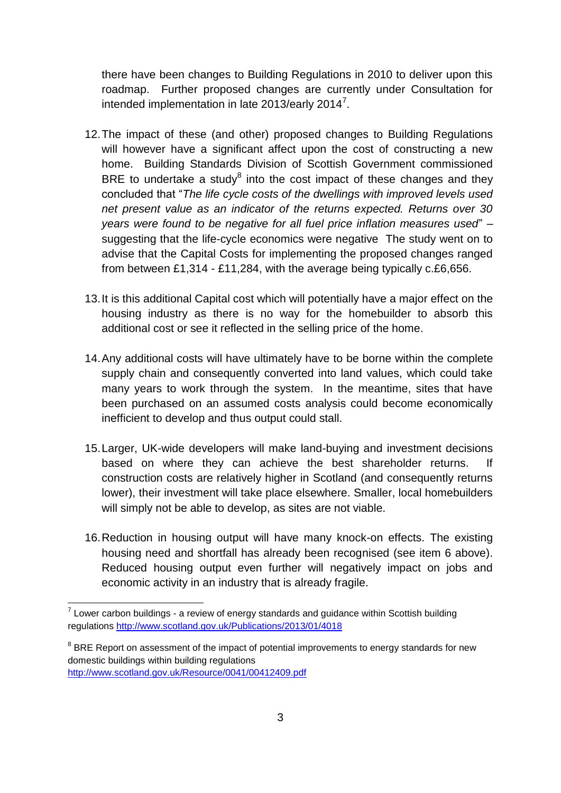there have been changes to Building Regulations in 2010 to deliver upon this roadmap. Further proposed changes are currently under Consultation for intended implementation in late 2013/early 2014<sup>7</sup>.

- 12.The impact of these (and other) proposed changes to Building Regulations will however have a significant affect upon the cost of constructing a new home. Building Standards Division of Scottish Government commissioned BRE to undertake a study $^8$  into the cost impact of these changes and they concluded that "*The life cycle costs of the dwellings with improved levels used net present value as an indicator of the returns expected. Returns over 30 years were found to be negative for all fuel price inflation measures used*" – suggesting that the life-cycle economics were negative The study went on to advise that the Capital Costs for implementing the proposed changes ranged from between £1,314 - £11,284, with the average being typically c.£6,656.
- 13.It is this additional Capital cost which will potentially have a major effect on the housing industry as there is no way for the homebuilder to absorb this additional cost or see it reflected in the selling price of the home.
- 14.Any additional costs will have ultimately have to be borne within the complete supply chain and consequently converted into land values, which could take many years to work through the system. In the meantime, sites that have been purchased on an assumed costs analysis could become economically inefficient to develop and thus output could stall.
- 15.Larger, UK-wide developers will make land-buying and investment decisions based on where they can achieve the best shareholder returns. If construction costs are relatively higher in Scotland (and consequently returns lower), their investment will take place elsewhere. Smaller, local homebuilders will simply not be able to develop, as sites are not viable.
- 16.Reduction in housing output will have many knock-on effects. The existing housing need and shortfall has already been recognised (see item 6 above). Reduced housing output even further will negatively impact on jobs and economic activity in an industry that is already fragile.

1

 $7$  Lower carbon buildings - a review of energy standards and guidance within Scottish building regulations<http://www.scotland.gov.uk/Publications/2013/01/4018>

 $8$  BRE Report on assessment of the impact of potential improvements to energy standards for new domestic buildings within building regulations <http://www.scotland.gov.uk/Resource/0041/00412409.pdf>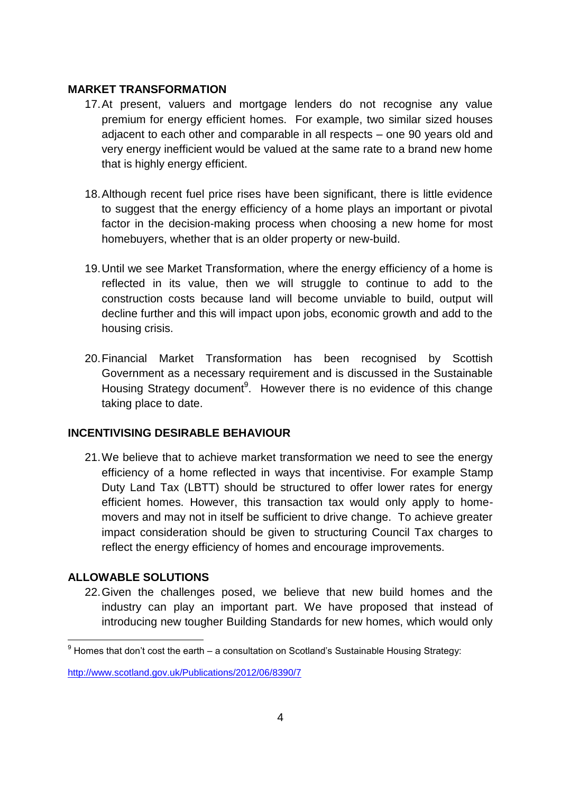#### **MARKET TRANSFORMATION**

- 17.At present, valuers and mortgage lenders do not recognise any value premium for energy efficient homes. For example, two similar sized houses adjacent to each other and comparable in all respects – one 90 years old and very energy inefficient would be valued at the same rate to a brand new home that is highly energy efficient.
- 18.Although recent fuel price rises have been significant, there is little evidence to suggest that the energy efficiency of a home plays an important or pivotal factor in the decision-making process when choosing a new home for most homebuyers, whether that is an older property or new-build.
- 19.Until we see Market Transformation, where the energy efficiency of a home is reflected in its value, then we will struggle to continue to add to the construction costs because land will become unviable to build, output will decline further and this will impact upon jobs, economic growth and add to the housing crisis.
- 20.Financial Market Transformation has been recognised by Scottish Government as a necessary requirement and is discussed in the Sustainable Housing Strategy document<sup>9</sup>. However there is no evidence of this change taking place to date.

#### **INCENTIVISING DESIRABLE BEHAVIOUR**

21.We believe that to achieve market transformation we need to see the energy efficiency of a home reflected in ways that incentivise. For example Stamp Duty Land Tax (LBTT) should be structured to offer lower rates for energy efficient homes. However, this transaction tax would only apply to homemovers and may not in itself be sufficient to drive change. To achieve greater impact consideration should be given to structuring Council Tax charges to reflect the energy efficiency of homes and encourage improvements.

#### **ALLOWABLE SOLUTIONS**

22.Given the challenges posed, we believe that new build homes and the industry can play an important part. We have proposed that instead of introducing new tougher Building Standards for new homes, which would only

<sup>1</sup>  $9$  Homes that don't cost the earth – a consultation on Scotland's Sustainable Housing Strategy:

<http://www.scotland.gov.uk/Publications/2012/06/8390/7>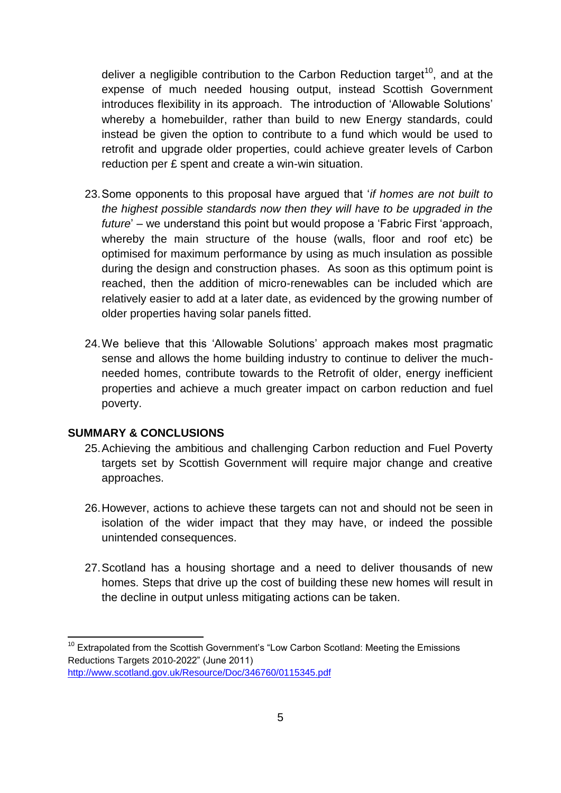deliver a negligible contribution to the Carbon Reduction target<sup>10</sup>, and at the expense of much needed housing output, instead Scottish Government introduces flexibility in its approach. The introduction of 'Allowable Solutions' whereby a homebuilder, rather than build to new Energy standards, could instead be given the option to contribute to a fund which would be used to retrofit and upgrade older properties, could achieve greater levels of Carbon reduction per £ spent and create a win-win situation.

- 23.Some opponents to this proposal have argued that '*if homes are not built to the highest possible standards now then they will have to be upgraded in the future*' – we understand this point but would propose a 'Fabric First 'approach, whereby the main structure of the house (walls, floor and roof etc) be optimised for maximum performance by using as much insulation as possible during the design and construction phases. As soon as this optimum point is reached, then the addition of micro-renewables can be included which are relatively easier to add at a later date, as evidenced by the growing number of older properties having solar panels fitted.
- 24.We believe that this 'Allowable Solutions' approach makes most pragmatic sense and allows the home building industry to continue to deliver the muchneeded homes, contribute towards to the Retrofit of older, energy inefficient properties and achieve a much greater impact on carbon reduction and fuel poverty.

## **SUMMARY & CONCLUSIONS**

1

- 25.Achieving the ambitious and challenging Carbon reduction and Fuel Poverty targets set by Scottish Government will require major change and creative approaches.
- 26.However, actions to achieve these targets can not and should not be seen in isolation of the wider impact that they may have, or indeed the possible unintended consequences.
- 27.Scotland has a housing shortage and a need to deliver thousands of new homes. Steps that drive up the cost of building these new homes will result in the decline in output unless mitigating actions can be taken.

 $10$  Extrapolated from the Scottish Government's "Low Carbon Scotland: Meeting the Emissions Reductions Targets 2010-2022" (June 2011) <http://www.scotland.gov.uk/Resource/Doc/346760/0115345.pdf>